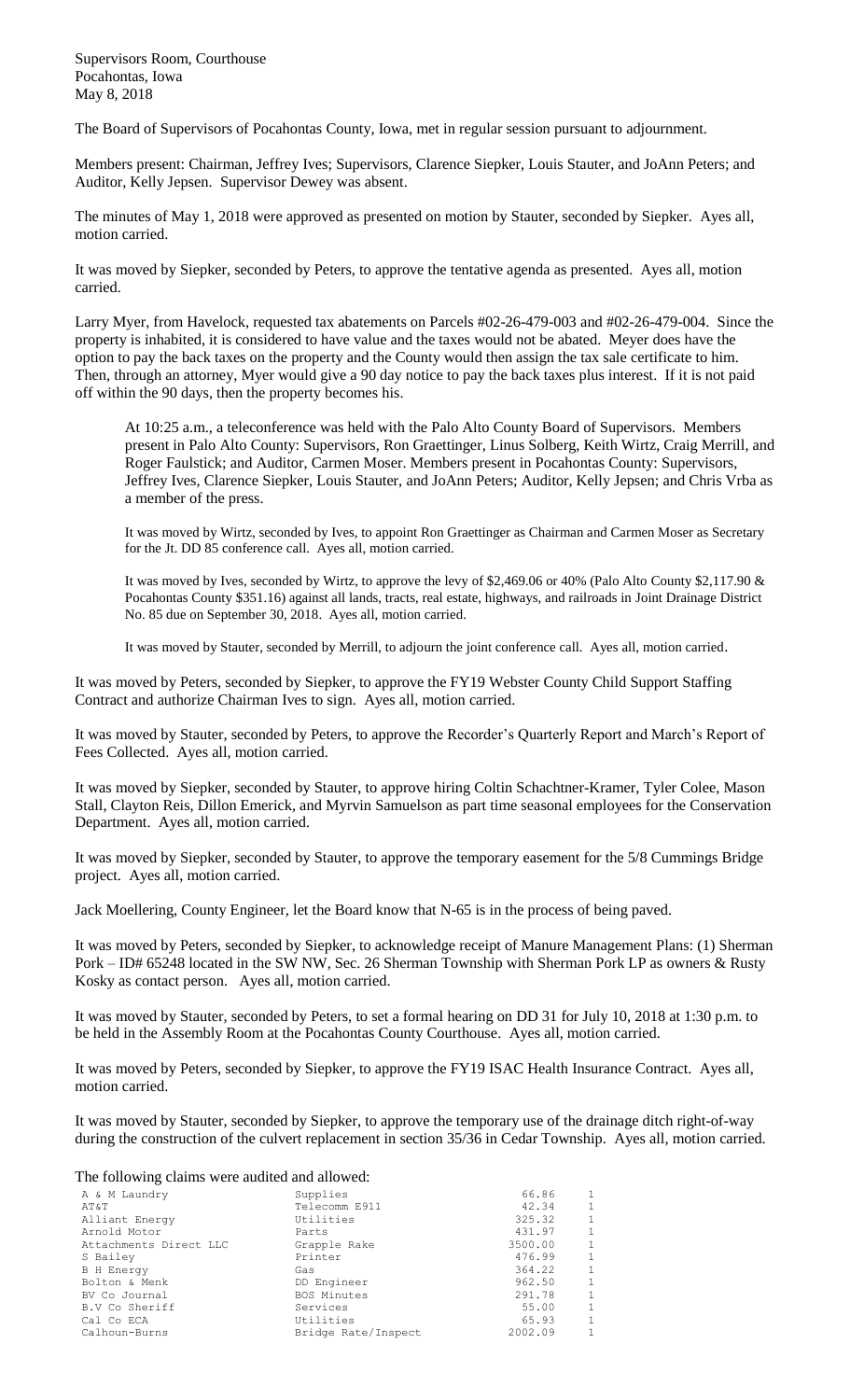Supervisors Room, Courthouse Pocahontas, Iowa May 8, 2018

The Board of Supervisors of Pocahontas County, Iowa, met in regular session pursuant to adjournment.

Members present: Chairman, Jeffrey Ives; Supervisors, Clarence Siepker, Louis Stauter, and JoAnn Peters; and Auditor, Kelly Jepsen. Supervisor Dewey was absent.

The minutes of May 1, 2018 were approved as presented on motion by Stauter, seconded by Siepker. Ayes all, motion carried.

It was moved by Siepker, seconded by Peters, to approve the tentative agenda as presented. Ayes all, motion carried.

Larry Myer, from Havelock, requested tax abatements on Parcels #02-26-479-003 and #02-26-479-004. Since the property is inhabited, it is considered to have value and the taxes would not be abated. Meyer does have the option to pay the back taxes on the property and the County would then assign the tax sale certificate to him. Then, through an attorney, Myer would give a 90 day notice to pay the back taxes plus interest. If it is not paid off within the 90 days, then the property becomes his.

At 10:25 a.m., a teleconference was held with the Palo Alto County Board of Supervisors. Members present in Palo Alto County: Supervisors, Ron Graettinger, Linus Solberg, Keith Wirtz, Craig Merrill, and Roger Faulstick; and Auditor, Carmen Moser. Members present in Pocahontas County: Supervisors, Jeffrey Ives, Clarence Siepker, Louis Stauter, and JoAnn Peters; Auditor, Kelly Jepsen; and Chris Vrba as a member of the press.

It was moved by Wirtz, seconded by Ives, to appoint Ron Graettinger as Chairman and Carmen Moser as Secretary for the Jt. DD 85 conference call. Ayes all, motion carried.

It was moved by Ives, seconded by Wirtz, to approve the levy of \$2,469.06 or 40% (Palo Alto County \$2,117.90 & Pocahontas County \$351.16) against all lands, tracts, real estate, highways, and railroads in Joint Drainage District No. 85 due on September 30, 2018. Ayes all, motion carried.

It was moved by Stauter, seconded by Merrill, to adjourn the joint conference call. Ayes all, motion carried.

It was moved by Peters, seconded by Siepker, to approve the FY19 Webster County Child Support Staffing Contract and authorize Chairman Ives to sign. Ayes all, motion carried.

It was moved by Stauter, seconded by Peters, to approve the Recorder's Quarterly Report and March's Report of Fees Collected. Ayes all, motion carried.

It was moved by Siepker, seconded by Stauter, to approve hiring Coltin Schachtner-Kramer, Tyler Colee, Mason Stall, Clayton Reis, Dillon Emerick, and Myrvin Samuelson as part time seasonal employees for the Conservation Department. Ayes all, motion carried.

It was moved by Siepker, seconded by Stauter, to approve the temporary easement for the 5/8 Cummings Bridge project. Ayes all, motion carried.

Jack Moellering, County Engineer, let the Board know that N-65 is in the process of being paved.

It was moved by Peters, seconded by Siepker, to acknowledge receipt of Manure Management Plans: (1) Sherman Pork – ID# 65248 located in the SW NW, Sec. 26 Sherman Township with Sherman Pork LP as owners & Rusty Kosky as contact person. Ayes all, motion carried.

It was moved by Stauter, seconded by Peters, to set a formal hearing on DD 31 for July 10, 2018 at 1:30 p.m. to be held in the Assembly Room at the Pocahontas County Courthouse. Ayes all, motion carried.

It was moved by Peters, seconded by Siepker, to approve the FY19 ISAC Health Insurance Contract. Ayes all, motion carried.

It was moved by Stauter, seconded by Siepker, to approve the temporary use of the drainage ditch right-of-way during the construction of the culvert replacement in section 35/36 in Cedar Township. Ayes all, motion carried.

## The following claims were audited and allowed:

| A & M Laundry          | Supplies            | 66.86   | 1            |
|------------------------|---------------------|---------|--------------|
| AΤ&Τ                   | Telecomm E911       | 42.34   | $\mathbf{1}$ |
| Alliant Energy         | Utilities           | 325.32  | $\mathbf{1}$ |
| Arnold Motor           | Parts               | 431.97  | 1            |
| Attachments Direct LLC | Grapple Rake        | 3500.00 | 1            |
| S Bailey               | Printer             | 476.99  | 1            |
| <b>B</b> H Energy      | Gas                 | 364.22  | $\mathbf{1}$ |
| Bolton & Menk          | DD Engineer         | 962.50  | $\mathbf{1}$ |
| BV Co Journal          | BOS Minutes         | 291.78  | $\mathbf{1}$ |
| B.V Co Sheriff         | Services            | 55.00   | $\mathbf{1}$ |
| Cal Co ECA             | Utilities           | 65.93   | $\mathbf{1}$ |
| Calhoun-Burns          | Bridge Rate/Inspect | 2002.09 | 1            |
|                        |                     |         |              |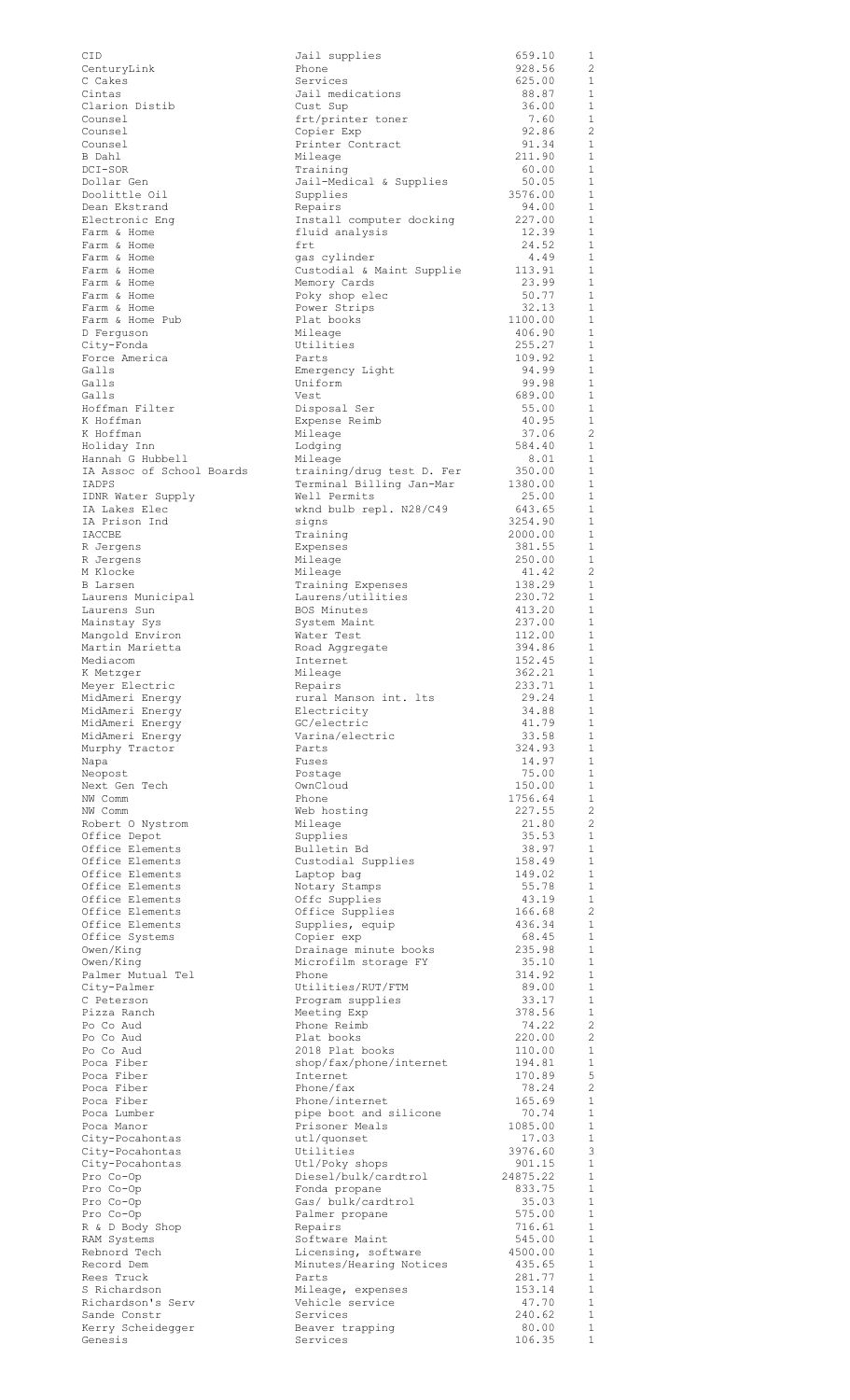| CID                                | Jail supplies                                  | 659.10             | 1                            |
|------------------------------------|------------------------------------------------|--------------------|------------------------------|
| CenturyLink                        | Phone                                          | 928.56             | 2                            |
| C Cakes                            | Services                                       | 625.00             | 1                            |
| Cintas<br>Clarion Distib           | Jail medications<br>Cust Sup                   | 88.87<br>36.00     | $\mathbf{1}$<br>1            |
| Counsel                            | frt/printer toner                              | 7.60               | $\mathbf{1}$                 |
| Counsel                            | Copier Exp                                     | 92.86              | 2                            |
| Counsel                            | Printer Contract                               | 91.34              | $\mathbf{1}$                 |
| B Dahl<br>DCI-SOR                  | Mileage                                        | 211.90             | $\mathbf{1}$<br>$\mathbf{1}$ |
| Dollar Gen                         | Training<br>Jail-Medical & Supplies            | 60.00<br>50.05     | $\mathbf{1}$                 |
| Doolittle Oil                      | Supplies                                       | 3576.00            | $\mathbf{1}$                 |
| Dean Ekstrand                      | Repairs                                        | 94.00              | $\mathbf{1}$                 |
| Electronic Eng                     | Install computer docking                       | 227.00             | $\mathbf{1}$                 |
| Farm & Home                        | fluid analysis                                 | 12.39              | 1                            |
| Farm & Home<br>Farm & Home         | frt<br>gas cylinder                            | 24.52<br>4.49      | $\mathbf{1}$<br>$\mathbf{1}$ |
| Farm & Home                        | Custodial & Maint Supplie                      | 113.91             | $\mathbf{1}$                 |
| Farm & Home                        | Memory Cards                                   | 23.99              | 1                            |
| Farm & Home                        | Poky shop elec                                 | 50.77              | 1                            |
| Farm & Home                        | Power Strips                                   | 32.13              | $\mathbf{1}$                 |
| Farm & Home Pub                    | Plat books                                     | 1100.00<br>406.90  | $\mathbf{1}$<br>1            |
| D Ferquson<br>City-Fonda           | Mileage<br>Utilities                           | 255.27             | $\mathbf{1}$                 |
| Force America                      | Parts                                          | 109.92             | 1                            |
| Galls                              | Emergency Light                                | 94.99              | $\mathbf{1}$                 |
| Galls                              | Uniform                                        | 99.98              | $\mathbf{1}$                 |
| Galls                              | Vest                                           | 689.00             | $\mathbf{1}$                 |
| Hoffman Filter<br>K Hoffman        | Disposal Ser                                   | 55.00              | $\mathbf{1}$<br>1            |
| K Hoffman                          | Expense Reimb<br>Mileage                       | 40.95<br>37.06     | 2                            |
| Holiday Inn                        | Lodging                                        | 584.40             | $\mathbf{1}$                 |
| Hannah G Hubbell                   | Mileage                                        | 8.01               | $\mathbf{1}$                 |
| IA Assoc of School Boards          | training/drug test D. Fer                      | 350.00             | $\mathbf{1}$                 |
| IADPS                              | Terminal Billing Jan-Mar                       | 1380.00            | $\mathbf{1}$<br>$\mathbf{1}$ |
| IDNR Water Supply<br>IA Lakes Elec | Well Permits                                   | 25.00<br>643.65    | $\mathbf{1}$                 |
| IA Prison Ind                      | wknd bulb repl. N28/C49<br>signs               | 3254.90            | $\mathbf{1}$                 |
| IACCBE                             | Training                                       | 2000.00            | $\mathbf{1}$                 |
| R Jergens                          | Expenses                                       | 381.55             | $\mathbf{1}$                 |
| R Jergens                          | Mileage                                        | 250.00             | $\mathbf{1}$                 |
| M Klocke                           | Mileage                                        | 41.42              | 2                            |
| B Larsen<br>Laurens Municipal      | Training Expenses<br>Laurens/utilities         | 138.29<br>230.72   | $\mathbf{1}$<br>$\mathbf{1}$ |
| Laurens Sun                        | BOS Minutes                                    | 413.20             | 1                            |
| Mainstay Sys                       | System Maint                                   | 237.00             | $\mathbf{1}$                 |
| Mangold Environ                    | Water Test                                     | 112.00             | 1                            |
| Martin Marietta                    | Road Aggregate                                 | 394.86             | $\mathbf{1}$                 |
| Mediacom                           | Internet                                       | 152.45             | 1                            |
| K Metzger<br>Meyer Electric        | Mileage<br>Repairs                             | 362.21<br>233.71   | $\mathbf{1}$<br>1            |
| MidAmeri Energy                    | rural Manson int. Its                          | 29.24              | 1                            |
| MidAmeri Energy                    | Electricity                                    | 34.88              | 1                            |
| MidAmeri Energy                    | GC/electric                                    | 41.79              | 1                            |
| MidAmeri Energy                    | Varina/electric                                | 33.58              | $\mathbf{1}$                 |
| Murphy Tractor                     | Parts                                          | 324.93             | $\mathbf{1}$                 |
|                                    |                                                |                    |                              |
| Napa                               | Fuses                                          | 14.97              | $\mathbf{1}$                 |
| Neopost<br>Next Gen Tech           | Postage<br>OwnCloud                            | 75.00              | $\mathbf{1}$<br>$\mathbf{1}$ |
| NW Comm                            | Phone                                          | 150.00<br>1756.64  | $\mathbf{1}$                 |
| NW Comm                            | Web hosting                                    | 227.55             | $\overline{c}$               |
| Robert O Nystrom                   | Mileage                                        | 21.80              | 2                            |
| Office Depot                       | Supplies                                       | 35.53              | 1                            |
| Office Elements                    | Bulletin Bd                                    | 38.97              | 1                            |
| Office Elements<br>Office Elements | Custodial Supplies<br>Laptop bag               | 158.49<br>149.02   | 1<br>1                       |
| Office Elements                    | Notary Stamps                                  | 55.78              | 1                            |
| Office Elements                    | Offc Supplies                                  | 43.19              | $\mathbf{1}$                 |
| Office Elements                    | Office Supplies                                | 166.68             | 2                            |
| Office Elements                    | Supplies, equip                                | 436.34             | $\mathbf{1}$                 |
| Office Systems                     | Copier exp<br>Drainage minute books            | 68.45<br>235.98    | 1<br>1                       |
| Owen/King<br>Owen/King             | Microfilm storage FY                           | 35.10              | $\mathbf{1}$                 |
| Palmer Mutual Tel                  | Phone                                          | 314.92             | 1                            |
| City-Palmer                        | Utilities/RUT/FTM                              | 89.00              | 1                            |
| C Peterson<br>Pizza Ranch          | Program supplies                               | 33.17              | $\mathbf{1}$<br>1            |
| Po Co Aud                          | Meeting Exp<br>Phone Reimb                     | 378.56<br>74.22    | 2                            |
| Po Co Aud                          | Plat books                                     | 220.00             | 2                            |
| Po Co Aud                          | 2018 Plat books                                | 110.00             | $\mathbf{1}$                 |
| Poca Fiber                         | shop/fax/phone/internet                        | 194.81             | $\mathbf{1}$                 |
| Poca Fiber                         | Internet                                       | 170.89             | 5                            |
| Poca Fiber<br>Poca Fiber           | Phone/fax                                      | 78.24<br>165.69    | 2<br>$\mathbf{1}$            |
| Poca Lumber                        | Phone/internet<br>pipe boot and silicone       | 70.74              | $\mathbf{1}$                 |
| Poca Manor                         | Prisoner Meals                                 | 1085.00            | $\mathbf{1}$                 |
| City-Pocahontas                    | utl/quonset                                    | 17.03              | $\mathbf{1}$                 |
| City-Pocahontas                    | Utilities                                      | 3976.60            | 3                            |
| City-Pocahontas<br>Pro Co-Op       | Utl/Poky shops<br>Diesel/bulk/cardtrol         | 901.15<br>24875.22 | $\mathbf{1}$<br>$\mathbf{1}$ |
| Pro Co-Op                          | Fonda propane                                  | 833.75             | $\mathbf{1}$                 |
| Pro Co-Op                          | Gas/ bulk/cardtrol                             | 35.03              | $\mathbf{1}$                 |
| Pro Co-Op                          | Palmer propane                                 | 575.00             | $\mathbf{1}$                 |
| R & D Body Shop                    | Repairs                                        | 716.61             | $\mathbf{1}$                 |
| RAM Systems<br>Rebnord Tech        | Software Maint                                 | 545.00<br>4500.00  | $\mathbf{1}$<br>$\mathbf{1}$ |
| Record Dem                         | Licensing, software<br>Minutes/Hearing Notices | 435.65             | 1                            |
| Rees Truck                         | Parts                                          | 281.77             | $\mathbf{1}$                 |
| S Richardson                       | Mileage, expenses                              | 153.14             | $\mathbf{1}$                 |
| Richardson's Serv                  | Vehicle service                                | 47.70              | $\mathbf{1}$                 |
| Sande Constr<br>Kerry Scheidegger  | Services<br>Beaver trapping                    | 240.62<br>80.00    | $\mathbf{1}$<br>$\mathbf{1}$ |

| .ies                                | 659.10<br>928.56   |
|-------------------------------------|--------------------|
| ations:                             | 625.00<br>88.87    |
|                                     | 36.00              |
| r toner<br>J                        | 7.60<br>92.86      |
| ntract                              | 91.34<br>211.90    |
| al & Supplies:                      | 60.00<br>50.05     |
|                                     | 3576.00            |
| mputer docking                      | 94.00<br>227.00    |
| .ysis                               | 12.39<br>24.52     |
| ler<br>& Maint Supplie              | 4.49<br>113.91     |
| ds:                                 | 23.99              |
| elec<br>.ps                         | 50.77<br>32.13     |
| 5                                   | 1100.00<br>406.90  |
|                                     | 255.27<br>109.92   |
| Light                               | 94.99              |
|                                     | 99.98<br>689.00    |
| 'er<br>eimb                         | 55.00<br>40.95     |
|                                     | 37.06<br>584.40    |
|                                     | 8.01               |
| drug test D. Fer<br>Billing Jan-Mar | 350.00<br>1380.00  |
| .ts<br>repl. N28/C49                | 25.00<br>643.65    |
|                                     | 3254.90<br>2000.00 |
|                                     | 381.55<br>250.00   |
|                                     | 41.42              |
| kpenses:<br>ilities                 | 138.29<br>230.72   |
| :S<br>.nt                           | 413.20<br>237.00   |
|                                     | 112.00<br>394.86   |
| egate                               | 152.45             |
|                                     | 362.21<br>233.71   |
| on int. lts<br>ŀУ                   | 29.24<br>34.88     |
| .c<br>ectric                        | 41.79<br>33.58     |
|                                     | 324.93             |
|                                     | 14.97<br>75.00     |
|                                     | 150.00<br>1756.64  |
| ıg                                  | 227.55<br>21.80    |
|                                     | 35.53              |
| 8d<br>Supplies                      | 38.97<br>158.49    |
| ſ<br>ımps                           | 149.02<br>55.78    |
| .ies<br>plies                       | 43.19<br>166.68    |
| equip                               | 436.34<br>68.45    |
| J<br>inute books                    | 235.98             |
| storage FY                          | 35.10<br>314.92    |
| 'RUT/FTM<br>upplies                 | 89.00<br>33.17     |
| :p<br>ıb                            | 378.56<br>74.22    |
| 5                                   | 220.00             |
| books<br>hone/internet\             | 110.00<br>194.81   |
|                                     | 170.89<br>78.24    |
| ernet<br>and silicone               | 165.69<br>70.74    |
| ieals<br>ιt                         | 1085.00<br>17.03   |
|                                     | 3976.60            |
| hops<br>.k/cardtrol                 | 901.15<br>24875.22 |
| ane<br>cardtrol                     | 833.75<br>35.03    |
| pane                                | 575.00<br>716.61   |
| iaint                               | 545.00             |
| software<br>aring Notices           | 4500.00<br>435.65  |
| xpenses!                            | 281.77<br>153.14   |
| rvice:                              | 47.70<br>240.62    |
| ipping                              | 80.00<br>106.35    |